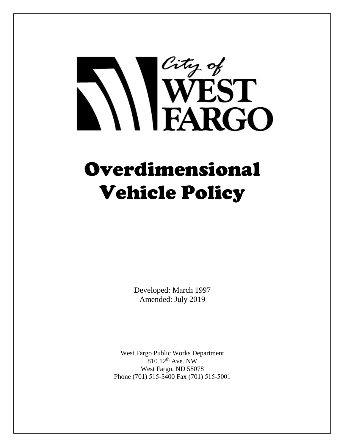# City of<br>WEST<br>FARGO

# Overdimensional Vehicle Policy

Developed: March 1997 Amended: July 2019

West Fargo Public Works Department  $810$   $12$ <sup>th</sup> Ave. NW West Fargo, ND 58078 Phone (701) 515-5400 Fax (701) 515-5001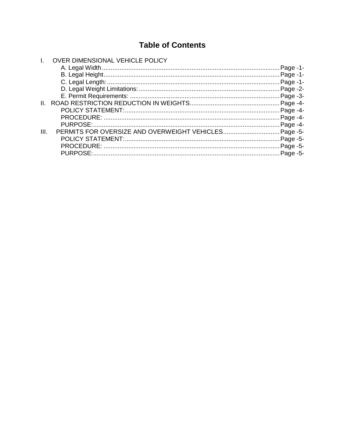# **Table of Contents**

|         | OVER DIMENSIONAL VEHICLE POLICY |             |
|---------|---------------------------------|-------------|
|         |                                 | - Page - 1. |
|         |                                 |             |
|         |                                 |             |
|         |                                 |             |
|         |                                 |             |
| $\Pi$ . |                                 |             |
|         |                                 |             |
|         |                                 |             |
|         |                                 |             |
| III.    |                                 |             |
|         |                                 |             |
|         |                                 |             |
|         |                                 |             |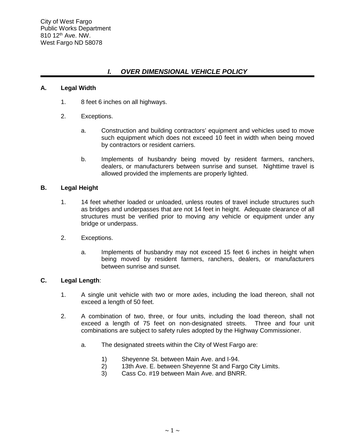# *I. OVER DIMENSIONAL VEHICLE POLICY*

# **A. Legal Width**

- 1. 8 feet 6 inches on all highways.
- 2. Exceptions.
	- a. Construction and building contractors' equipment and vehicles used to move such equipment which does not exceed 10 feet in width when being moved by contractors or resident carriers.
	- b. Implements of husbandry being moved by resident farmers, ranchers, dealers, or manufacturers between sunrise and sunset. Nighttime travel is allowed provided the implements are properly lighted.

# **B. Legal Height**

- 1. 14 feet whether loaded or unloaded, unless routes of travel include structures such as bridges and underpasses that are not 14 feet in height. Adequate clearance of all structures must be verified prior to moving any vehicle or equipment under any bridge or underpass.
- 2. Exceptions.
	- a. Implements of husbandry may not exceed 15 feet 6 inches in height when being moved by resident farmers, ranchers, dealers, or manufacturers between sunrise and sunset.

# **C. Legal Length**:

- 1. A single unit vehicle with two or more axles, including the load thereon, shall not exceed a length of 50 feet.
- 2. A combination of two, three, or four units, including the load thereon, shall not exceed a length of 75 feet on non-designated streets. Three and four unit combinations are subject to safety rules adopted by the Highway Commissioner.
	- a. The designated streets within the City of West Fargo are:
		- 1) Sheyenne St. between Main Ave. and I-94.
		- 2) 13th Ave. E. between Sheyenne St and Fargo City Limits.
		- 3) Cass Co. #19 between Main Ave. and BNRR.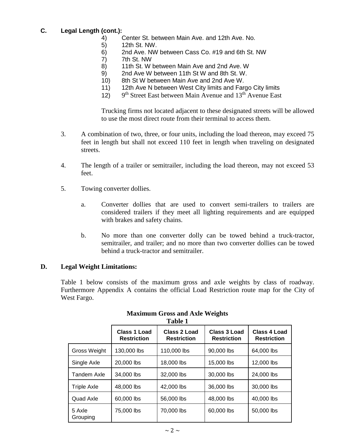# **C. Legal Length (cont.):**

- 4) Center St. between Main Ave. and 12th Ave. No.
- 5) 12th St. NW.
- 6) 2nd Ave. NW between Cass Co. #19 and 6th St. NW
- 7) 7th St. NW
- 8) 11th St. W between Main Ave and 2nd Ave. W
- 9) 2nd Ave W between 11th St W and 8th St. W.
- 10) 8th St W between Main Ave and 2nd Ave W.
- 11) 12th Ave N between West City limits and Fargo City limits
- 12)  $9<sup>th</sup> Street East between Main Avenue and 13<sup>th</sup> Avenue East$

Trucking firms not located adjacent to these designated streets will be allowed to use the most direct route from their terminal to access them.

- 3. A combination of two, three, or four units, including the load thereon, may exceed 75 feet in length but shall not exceed 110 feet in length when traveling on designated streets.
- 4. The length of a trailer or semitrailer, including the load thereon, may not exceed 53 feet.
- 5. Towing converter dollies.
	- a. Converter dollies that are used to convert semi-trailers to trailers are considered trailers if they meet all lighting requirements and are equipped with brakes and safety chains.
	- b. No more than one converter dolly can be towed behind a truck-tractor, semitrailer, and trailer; and no more than two converter dollies can be towed behind a truck-tractor and semitrailer.

# **D. Legal Weight Limitations:**

Table 1 below consists of the maximum gross and axle weights by class of roadway. Furthermore Appendix A contains the official Load Restriction route map for the City of West Fargo.

|                     | rabie r                            |                                    |                                    |                                    |  |  |  |  |
|---------------------|------------------------------------|------------------------------------|------------------------------------|------------------------------------|--|--|--|--|
|                     | Class 1 Load<br><b>Restriction</b> | Class 2 Load<br><b>Restriction</b> | Class 3 Load<br><b>Restriction</b> | Class 4 Load<br><b>Restriction</b> |  |  |  |  |
| <b>Gross Weight</b> | 130,000 lbs                        | 110,000 lbs                        | 90,000 lbs                         | 64,000 lbs                         |  |  |  |  |
| Single Axle         | 20,000 lbs                         | 18,000 lbs                         | 15,000 lbs                         | 12,000 lbs                         |  |  |  |  |
| Tandem Axle         | 34,000 lbs                         | 32,000 lbs                         | 30,000 lbs                         | 24,000 lbs                         |  |  |  |  |
| Triple Axle         | 48,000 lbs                         | 42,000 lbs                         | 36,000 lbs                         | 30,000 lbs                         |  |  |  |  |
| Quad Axle           | 60,000 lbs                         | 56,000 lbs                         | 48,000 lbs                         | 40,000 lbs                         |  |  |  |  |
| 5 Axle<br>Grouping  | 75,000 lbs                         | 70,000 lbs                         | 60,000 lbs                         | 50,000 lbs                         |  |  |  |  |

#### **Maximum Gross and Axle Weights Table 1**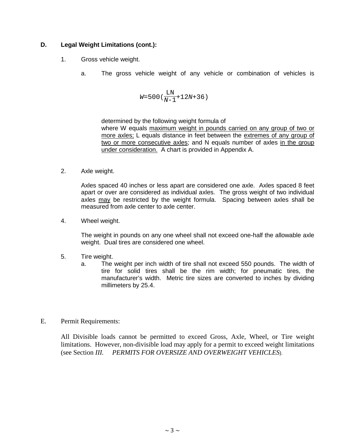# **D. Legal Weight Limitations (cont.):**

- 1. Gross vehicle weight.
	- a. The gross vehicle weight of any vehicle or combination of vehicles is

$$
W=500\left(\frac{\text{LN}}{N-1}+12N+36\right)
$$

determined by the following weight formula of

where W equals maximum weight in pounds carried on any group of two or more axles; L equals distance in feet between the extremes of any group of two or more consecutive axles; and N equals number of axles in the group under consideration. A chart is provided in Appendix A.

2. Axle weight.

Axles spaced 40 inches or less apart are considered one axle. Axles spaced 8 feet apart or over are considered as individual axles. The gross weight of two individual axles may be restricted by the weight formula. Spacing between axles shall be measured from axle center to axle center.

4. Wheel weight.

The weight in pounds on any one wheel shall not exceed one-half the allowable axle weight. Dual tires are considered one wheel.

- 5. Tire weight.
	- a. The weight per inch width of tire shall not exceed 550 pounds. The width of tire for solid tires shall be the rim width; for pneumatic tires, the manufacturer's width. Metric tire sizes are converted to inches by dividing millimeters by 25.4.
- E. Permit Requirements:

All Divisible loads cannot be permitted to exceed Gross, Axle, Wheel, or Tire weight limitations. However, non-divisible load may apply for a permit to exceed weight limitations (see Section *III. PERMITS FOR OVERSIZE AND OVERWEIGHT VEHICLES*).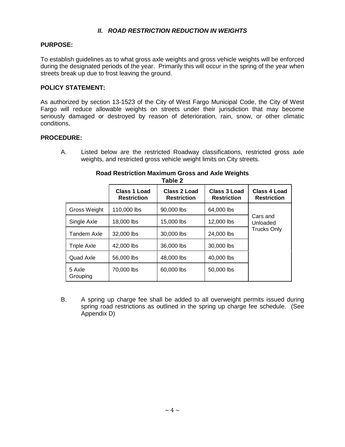# *II. ROAD RESTRICTION REDUCTION IN WEIGHTS*

# **PURPOSE:**

To establish guidelines as to what gross axle weights and gross vehicle weights will be enforced during the designated periods of the year. Primarily this will occur in the spring of the year when streets break up due to frost leaving the ground.

# **POLICY STATEMENT:**

As authorized by section 13-1523 of the City of West Fargo Municipal Code, the City of West Fargo will reduce allowable weights on streets under their jurisdiction that may become seriously damaged or destroyed by reason of deterioration, rain, snow, or other climatic conditions.

#### **PROCEDURE:**

A. Listed below are the restricted Roadway classifications, restricted gross axle weights, and restricted gross vehicle weight limits on City streets.

|                    | Class 1 Load<br><b>Restriction</b> | Table Z<br>Class 2 Load<br><b>Restriction</b> | Class 3 Load<br><b>Restriction</b> | Class 4 Load<br><b>Restriction</b> |
|--------------------|------------------------------------|-----------------------------------------------|------------------------------------|------------------------------------|
| Gross Weight       | 110,000 lbs                        | 90,000 lbs                                    | 64,000 lbs                         |                                    |
| Single Axle        | 18,000 lbs                         | 15,000 lbs                                    | 12,000 lbs                         | Cars and<br>Unloaded               |
| Tandem Axle        | 32,000 lbs                         | 30,000 lbs                                    | 24,000 lbs                         | <b>Trucks Only</b>                 |
| <b>Triple Axle</b> | 42,000 lbs                         | 36,000 lbs                                    | 30,000 lbs                         |                                    |
| Quad Axle          | 56,000 lbs                         | 48,000 lbs                                    | 40,000 lbs                         |                                    |
| 5 Axle<br>Grouping | 70,000 lbs                         | 60,000 lbs                                    | 50,000 lbs                         |                                    |

#### **Road Restriction Maximum Gross and Axle Weights Table 2**

B. A spring up charge fee shall be added to all overweight permits issued during spring road restrictions as outlined in the spring up charge fee schedule. (See Appendix D)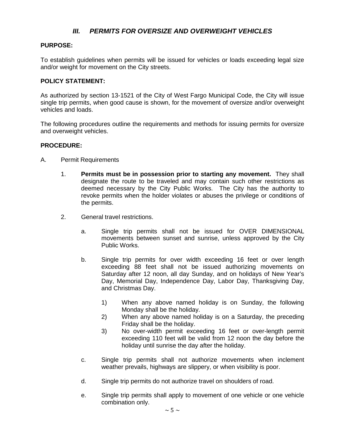# *III. PERMITS FOR OVERSIZE AND OVERWEIGHT VEHICLES*

# **PURPOSE:**

To establish guidelines when permits will be issued for vehicles or loads exceeding legal size and/or weight for movement on the City streets.

#### **POLICY STATEMENT:**

As authorized by section 13-1521 of the City of West Fargo Municipal Code, the City will issue single trip permits, when good cause is shown, for the movement of oversize and/or overweight vehicles and loads.

The following procedures outline the requirements and methods for issuing permits for oversize and overweight vehicles.

#### **PROCEDURE:**

- A. Permit Requirements
	- 1. **Permits must be in possession prior to starting any movement.** They shall designate the route to be traveled and may contain such other restrictions as deemed necessary by the City Public Works. The City has the authority to revoke permits when the holder violates or abuses the privilege or conditions of the permits.
	- 2. General travel restrictions.
		- a. Single trip permits shall not be issued for OVER DIMENSIONAL movements between sunset and sunrise, unless approved by the City Public Works.
		- b. Single trip permits for over width exceeding 16 feet or over length exceeding 88 feet shall not be issued authorizing movements on Saturday after 12 noon, all day Sunday, and on holidays of New Year's Day, Memorial Day, Independence Day, Labor Day, Thanksgiving Day, and Christmas Day.
			- 1) When any above named holiday is on Sunday, the following Monday shall be the holiday.
			- 2) When any above named holiday is on a Saturday, the preceding Friday shall be the holiday.
			- 3) No over-width permit exceeding 16 feet or over-length permit exceeding 110 feet will be valid from 12 noon the day before the holiday until sunrise the day after the holiday.
		- c. Single trip permits shall not authorize movements when inclement weather prevails, highways are slippery, or when visibility is poor.
		- d. Single trip permits do not authorize travel on shoulders of road.
		- e. Single trip permits shall apply to movement of one vehicle or one vehicle combination only.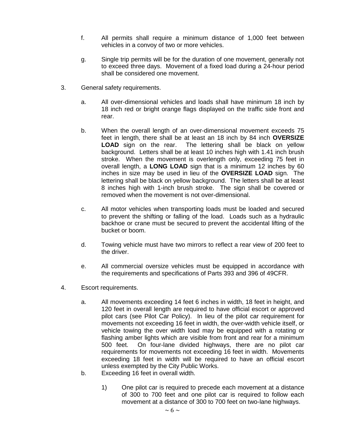- f. All permits shall require a minimum distance of 1,000 feet between vehicles in a convoy of two or more vehicles.
- g. Single trip permits will be for the duration of one movement, generally not to exceed three days. Movement of a fixed load during a 24-hour period shall be considered one movement.
- 3. General safety requirements.
	- a. All over-dimensional vehicles and loads shall have minimum 18 inch by 18 inch red or bright orange flags displayed on the traffic side front and rear.
	- b. When the overall length of an over-dimensional movement exceeds 75 feet in length, there shall be at least an 18 inch by 84 inch **OVERSIZE LOAD** sign on the rear. The lettering shall be black on yellow background. Letters shall be at least 10 inches high with 1.41 inch brush stroke. When the movement is overlength only, exceeding 75 feet in overall length, a **LONG LOAD** sign that is a minimum 12 inches by 60 inches in size may be used in lieu of the **OVERSIZE LOAD** sign. The lettering shall be black on yellow background. The letters shall be at least 8 inches high with 1-inch brush stroke. The sign shall be covered or removed when the movement is not over-dimensional.
	- c. All motor vehicles when transporting loads must be loaded and secured to prevent the shifting or falling of the load. Loads such as a hydraulic backhoe or crane must be secured to prevent the accidental lifting of the bucket or boom.
	- d. Towing vehicle must have two mirrors to reflect a rear view of 200 feet to the driver.
	- e. All commercial oversize vehicles must be equipped in accordance with the requirements and specifications of Parts 393 and 396 of 49CFR.
- 4. Escort requirements.
	- a. All movements exceeding 14 feet 6 inches in width, 18 feet in height, and 120 feet in overall length are required to have official escort or approved pilot cars (see Pilot Car Policy). In lieu of the pilot car requirement for movements not exceeding 16 feet in width, the over-width vehicle itself, or vehicle towing the over width load may be equipped with a rotating or flashing amber lights which are visible from front and rear for a minimum 500 feet. On four-lane divided highways, there are no pilot car requirements for movements not exceeding 16 feet in width. Movements exceeding 18 feet in width will be required to have an official escort unless exempted by the City Public Works.
	- b. Exceeding 16 feet in overall width.
		- 1) One pilot car is required to precede each movement at a distance of 300 to 700 feet and one pilot car is required to follow each movement at a distance of 300 to 700 feet on two-lane highways.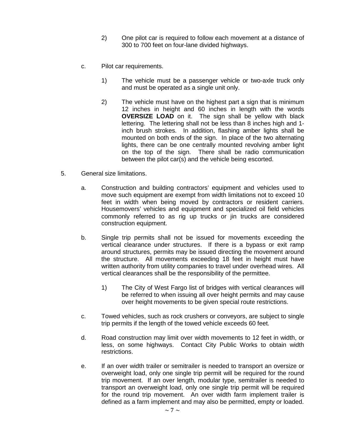- 2) One pilot car is required to follow each movement at a distance of 300 to 700 feet on four-lane divided highways.
- c. Pilot car requirements.
	- 1) The vehicle must be a passenger vehicle or two-axle truck only and must be operated as a single unit only.
	- 2) The vehicle must have on the highest part a sign that is minimum 12 inches in height and 60 inches in length with the words **OVERSIZE LOAD** on it. The sign shall be yellow with black lettering. The lettering shall not be less than 8 inches high and 1 inch brush strokes. In addition, flashing amber lights shall be mounted on both ends of the sign. In place of the two alternating lights, there can be one centrally mounted revolving amber light on the top of the sign. There shall be radio communication between the pilot car(s) and the vehicle being escorted.
- 5. General size limitations.
	- a. Construction and building contractors' equipment and vehicles used to move such equipment are exempt from width limitations not to exceed 10 feet in width when being moved by contractors or resident carriers. Housemovers' vehicles and equipment and specialized oil field vehicles commonly referred to as rig up trucks or jin trucks are considered construction equipment.
	- b. Single trip permits shall not be issued for movements exceeding the vertical clearance under structures. If there is a bypass or exit ramp around structures, permits may be issued directing the movement around the structure. All movements exceeding 18 feet in height must have written authority from utility companies to travel under overhead wires. All vertical clearances shall be the responsibility of the permittee.
		- 1) The City of West Fargo list of bridges with vertical clearances will be referred to when issuing all over height permits and may cause over height movements to be given special route restrictions.
	- c. Towed vehicles, such as rock crushers or conveyors, are subject to single trip permits if the length of the towed vehicle exceeds 60 feet.
	- d. Road construction may limit over width movements to 12 feet in width, or less, on some highways. Contact City Public Works to obtain width restrictions.
	- e. If an over width trailer or semitrailer is needed to transport an oversize or overweight load, only one single trip permit will be required for the round trip movement. If an over length, modular type, semitrailer is needed to transport an overweight load, only one single trip permit will be required for the round trip movement. An over width farm implement trailer is defined as a farm implement and may also be permitted, empty or loaded.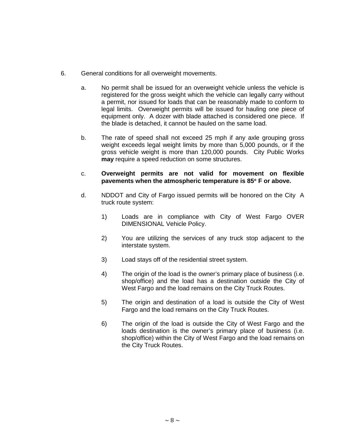- 6. General conditions for all overweight movements.
	- a. No permit shall be issued for an overweight vehicle unless the vehicle is registered for the gross weight which the vehicle can legally carry without a permit, nor issued for loads that can be reasonably made to conform to legal limits. Overweight permits will be issued for hauling one piece of equipment only. A dozer with blade attached is considered one piece. If the blade is detached, it cannot be hauled on the same load.
	- b. The rate of speed shall not exceed 25 mph if any axle grouping gross weight exceeds legal weight limits by more than 5,000 pounds, or if the gross vehicle weight is more than 120,000 pounds. City Public Works **may** require a speed reduction on some structures.
	- c. **Overweight permits are not valid for movement on flexible pavements when the atmospheric temperature is 85**° **F or above.**
	- d. NDDOT and City of Fargo issued permits will be honored on the City A truck route system:
		- 1) Loads are in compliance with City of West Fargo OVER DIMENSIONAL Vehicle Policy.
		- 2) You are utilizing the services of any truck stop adjacent to the interstate system.
		- 3) Load stays off of the residential street system.
		- 4) The origin of the load is the owner's primary place of business (i.e. shop/office) and the load has a destination outside the City of West Fargo and the load remains on the City Truck Routes.
		- 5) The origin and destination of a load is outside the City of West Fargo and the load remains on the City Truck Routes.
		- 6) The origin of the load is outside the City of West Fargo and the loads destination is the owner's primary place of business (i.e. shop/office) within the City of West Fargo and the load remains on the City Truck Routes.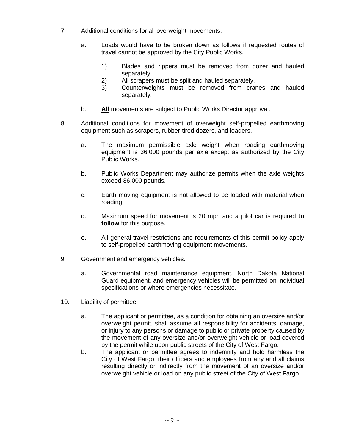- 7. Additional conditions for all overweight movements.
	- a. Loads would have to be broken down as follows if requested routes of travel cannot be approved by the City Public Works.
		- 1) Blades and rippers must be removed from dozer and hauled separately.
		- 2) All scrapers must be split and hauled separately.<br>3) Counterweights must be removed from crare
		- Counterweights must be removed from cranes and hauled separately.
	- b. **All** movements are subject to Public Works Director approval.
- 8. Additional conditions for movement of overweight self-propelled earthmoving equipment such as scrapers, rubber-tired dozers, and loaders.
	- a. The maximum permissible axle weight when roading earthmoving equipment is 36,000 pounds per axle except as authorized by the City Public Works.
	- b. Public Works Department may authorize permits when the axle weights exceed 36,000 pounds.
	- c. Earth moving equipment is not allowed to be loaded with material when roading.
	- d. Maximum speed for movement is 20 mph and a pilot car is required **to follow** for this purpose.
	- e. All general travel restrictions and requirements of this permit policy apply to self-propelled earthmoving equipment movements.
- 9. Government and emergency vehicles.
	- a. Governmental road maintenance equipment, North Dakota National Guard equipment, and emergency vehicles will be permitted on individual specifications or where emergencies necessitate.
- 10. Liability of permittee.
	- a. The applicant or permittee, as a condition for obtaining an oversize and/or overweight permit, shall assume all responsibility for accidents, damage, or injury to any persons or damage to public or private property caused by the movement of any oversize and/or overweight vehicle or load covered by the permit while upon public streets of the City of West Fargo.
	- b. The applicant or permittee agrees to indemnify and hold harmless the City of West Fargo, their officers and employees from any and all claims resulting directly or indirectly from the movement of an oversize and/or overweight vehicle or load on any public street of the City of West Fargo.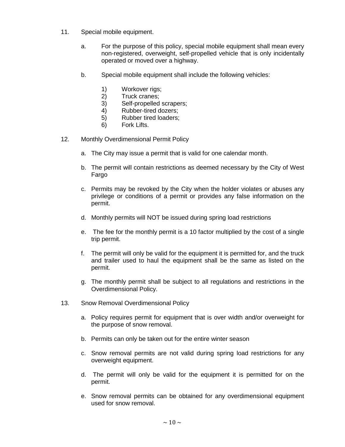- 11. Special mobile equipment.
	- a. For the purpose of this policy, special mobile equipment shall mean every non-registered, overweight, self-propelled vehicle that is only incidentally operated or moved over a highway.
	- b. Special mobile equipment shall include the following vehicles:
		- 1) Workover rigs;
		- 2) Truck cranes;<br>3) Self-propelled
		- Self-propelled scrapers;
		- 4) Rubber-tired dozers;
		- 5) Rubber tired loaders;
		- 6) Fork Lifts.
- 12. Monthly Overdimensional Permit Policy
	- a. The City may issue a permit that is valid for one calendar month.
	- b. The permit will contain restrictions as deemed necessary by the City of West Fargo
	- c. Permits may be revoked by the City when the holder violates or abuses any privilege or conditions of a permit or provides any false information on the permit.
	- d. Monthly permits will NOT be issued during spring load restrictions
	- e. The fee for the monthly permit is a 10 factor multiplied by the cost of a single trip permit.
	- f. The permit will only be valid for the equipment it is permitted for, and the truck and trailer used to haul the equipment shall be the same as listed on the permit.
	- g. The monthly permit shall be subject to all regulations and restrictions in the Overdimensional Policy.
- 13. Snow Removal Overdimensional Policy
	- a. Policy requires permit for equipment that is over width and/or overweight for the purpose of snow removal.
	- b. Permits can only be taken out for the entire winter season
	- c. Snow removal permits are not valid during spring load restrictions for any overweight equipment.
	- d. The permit will only be valid for the equipment it is permitted for on the permit.
	- e. Snow removal permits can be obtained for any overdimensional equipment used for snow removal.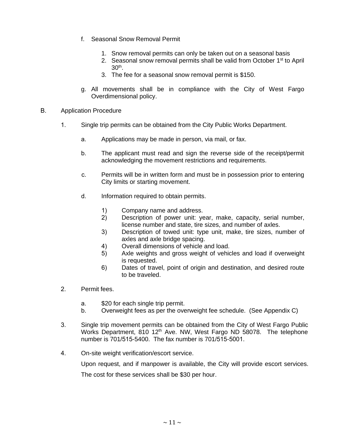- f. Seasonal Snow Removal Permit
	- 1. Snow removal permits can only be taken out on a seasonal basis
	- 2. Seasonal snow removal permits shall be valid from October 1<sup>st</sup> to April  $30<sup>th</sup>$ .
	- 3. The fee for a seasonal snow removal permit is \$150.
- g. All movements shall be in compliance with the City of West Fargo Overdimensional policy.
- B. Application Procedure
	- 1. Single trip permits can be obtained from the City Public Works Department.
		- a. Applications may be made in person, via mail, or fax.
		- b. The applicant must read and sign the reverse side of the receipt/permit acknowledging the movement restrictions and requirements.
		- c. Permits will be in written form and must be in possession prior to entering City limits or starting movement.
		- d. Information required to obtain permits.
			- 1) Company name and address.<br>2) Description of power unit: ye
			- Description of power unit: year, make, capacity, serial number, license number and state, tire sizes, and number of axles.
			- 3) Description of towed unit: type unit, make, tire sizes, number of axles and axle bridge spacing.
			- 4) Overall dimensions of vehicle and load.
			- 5) Axle weights and gross weight of vehicles and load if overweight is requested.
			- 6) Dates of travel, point of origin and destination, and desired route to be traveled.
	- 2. Permit fees.
		- a. \$20 for each single trip permit.
		- b. Overweight fees as per the overweight fee schedule. (See Appendix C)
	- 3. Single trip movement permits can be obtained from the City of West Fargo Public Works Department, 810 12<sup>th</sup> Ave. NW, West Fargo ND 58078. The telephone number is 701/515-5400. The fax number is 701/515-5001.
	- 4. On-site weight verification/escort service.

Upon request, and if manpower is available, the City will provide escort services.

The cost for these services shall be \$30 per hour.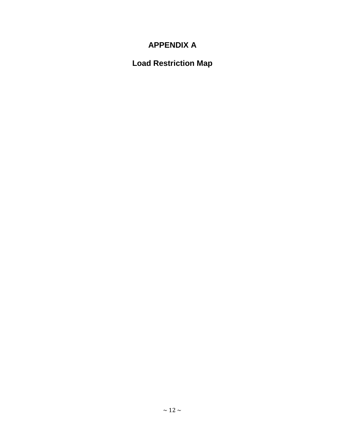# **APPENDIX A**

# **Load Restriction Map**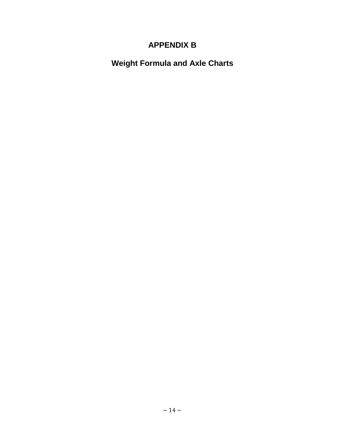# **APPENDIX B**

**Weight Formula and Axle Charts**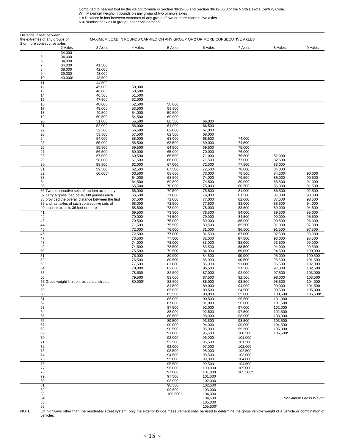Computed to nearest foot by the weight formula in Section 39-12-05 and Section 39-12-05.3 of the North Dakota Century Code.<br>W = Maximum weight in pounds on any group of two or more axles<br>L = Distance in feet between extrem

| Distance in feet between<br>the extremes of any groups of |                                                                                            |                   | MAXIMUM LOAD IN POUNDS CARRIED ON ANY GROUP OF 2 OR MORE CONSECUTIVE AXLES |                    |                    |                    |                       |
|-----------------------------------------------------------|--------------------------------------------------------------------------------------------|-------------------|----------------------------------------------------------------------------|--------------------|--------------------|--------------------|-----------------------|
| 2 or more consecutive axles<br>2 Axles                    | 3 Axles                                                                                    | 4 Axles           | 5 Axles                                                                    | 6 Axles            | 7 Axles            | 8 Axles            | 9 Axles               |
| 34,000<br>4                                               |                                                                                            |                   |                                                                            |                    |                    |                    |                       |
| 5<br>34,000<br>6<br>34,000                                |                                                                                            |                   |                                                                            |                    |                    |                    |                       |
| 34,000<br>7                                               | 41,500                                                                                     |                   |                                                                            |                    |                    |                    |                       |
| 38,000<br>8<br>39,000<br>9                                | 42,000<br>43,000                                                                           |                   |                                                                            |                    |                    |                    |                       |
| 40,000*<br>10                                             | 43,500                                                                                     |                   |                                                                            |                    |                    |                    |                       |
| 11                                                        | 44,500                                                                                     |                   |                                                                            |                    |                    |                    |                       |
| 12<br>13                                                  | 45,000<br>46,000                                                                           | 50,000<br>50,500  |                                                                            |                    |                    |                    |                       |
| 14                                                        | 46,500                                                                                     | 51,500            |                                                                            |                    |                    |                    |                       |
| 15<br>16                                                  | 47,500<br>48,000                                                                           | 52,000<br>52,500  | 58,000                                                                     |                    |                    |                    |                       |
| 17                                                        | 49,000                                                                                     | 53,500            | 58,500                                                                     |                    |                    |                    |                       |
| 18<br>19                                                  | 49,500<br>50,500                                                                           | 54,000<br>54,500  | 59,500<br>60,000                                                           |                    |                    |                    |                       |
| 20                                                        | 51,000                                                                                     | 55,500            | 60,500                                                                     | 66,000             |                    |                    |                       |
| 21                                                        | 52,000                                                                                     | 56,000            | 61,000                                                                     | 66,500             |                    |                    |                       |
| 22<br>23                                                  | 52,500<br>53,500                                                                           | 56,500<br>57,500  | 62,000<br>62,500                                                           | 67,000<br>68,000   |                    |                    |                       |
| 24                                                        | 54,000                                                                                     | 58,000            | 63,000                                                                     | 68,500             | 74,000             |                    |                       |
| 25<br>26                                                  | 55,000<br>55,500                                                                           | 58,500<br>59,500  | 63,500<br>64,500                                                           | 69,000<br>69,500   | 74,500<br>75,000   |                    |                       |
| 27                                                        | 56,500                                                                                     | 60,000            | 65,000                                                                     | 70,000             | 76,000             |                    |                       |
| 28                                                        | 57,000                                                                                     | 60,500            | 65,500                                                                     | 71,000             | 76,500             | 82,000             |                       |
| 29<br>30                                                  | 58,000<br>58,500                                                                           | 61,500<br>62,000  | 66,000<br>67,000                                                           | 71,500<br>72,000   | 77,000<br>77,500   | 82,500<br>83,000   |                       |
| 31                                                        | 59,500                                                                                     | 62,500            | 67,500                                                                     | 72,500             | 78,000             | 84,000             |                       |
| 32<br>33                                                  | 60,000*                                                                                    | 63,500<br>64,000  | 68,000<br>68,500                                                           | 73,000<br>74,000   | 78,500<br>79,500   | 84,500<br>85,000   | 90,000<br>90,500      |
| 34                                                        |                                                                                            | 64,500            | 69,500                                                                     | 74,500             | 80,000             | 85,500             | 91,000                |
| 35                                                        |                                                                                            | 65,500            | 70,000                                                                     | 75,000             | 80,500             | 86,000             | 91,500                |
|                                                           | 36 Two consecutive sets of tandem axles may<br>37 carry a gross load of 34,000 pounds each | 66,000<br>66,500  | 70,500<br>71,000                                                           | 75,500<br>76,000   | 81,000<br>81,500   | 86,500<br>87,000   | 92,500<br>93,000      |
|                                                           | 38 provided the overall distance between the first                                         | 67,500            | 72,000                                                                     | 77,000             | 82,000             | 87,500             | 93,500                |
| 40 tandem axles is 36 feet or more                        | 39 and last axles of such consecutive sets of                                              | 68,000<br>68,500  | 72,500<br>73,000                                                           | 77,500<br>78,000   | 83,000<br>83,500   | 88,500<br>89,000   | 94,000<br>94,500      |
| 41                                                        |                                                                                            | 69,500            | 73,500                                                                     | 78,500             | 84,000             | 89,500             | 95,000                |
| 42<br>43                                                  |                                                                                            | 70,000<br>70,500  | 74,500<br>75,000                                                           | 79,000<br>80,000   | 84,500<br>85,000   | 90,000<br>90,500   | 95,500<br>96,000      |
| 44                                                        |                                                                                            | 71,500            | 75,500                                                                     | 80,500             | 85,500             | 91,000             | 97,000                |
| 45                                                        |                                                                                            | 72,000            | 76,000                                                                     | 81,000             | 86,500             | 91,500             | 97,500                |
| 46<br>47                                                  |                                                                                            | 72,500<br>73,500  | 77,000<br>77,500                                                           | 81,500<br>82,000   | 87,000<br>87,500   | 92,500<br>93,000   | 98,000<br>98,500      |
| 48                                                        |                                                                                            | 74,000            | 78,000                                                                     | 83,000             | 88,000             | 93,500             | 99,000                |
| 49<br>50                                                  |                                                                                            | 74,500<br>75,500  | 78,500<br>79,500                                                           | 83,500<br>84,000   | 88,500<br>89,000   | 94,000<br>94,500   | 99,500<br>100,000     |
| 51                                                        |                                                                                            | 76,000            | 80,000                                                                     | 84,500             | 90,000             | 95,000             | 100,500               |
| 52<br>53                                                  |                                                                                            | 76,500<br>77,500  | 80,500<br>81,000                                                           | 85,000<br>86,000   | 90,500<br>91,000   | 95,500<br>96,500   | 101,500<br>102,000    |
| 54                                                        |                                                                                            | 78,000            | 82,000                                                                     | 86,500             | 91,500             | 97,000             | 102,500               |
| 55                                                        |                                                                                            | 78,500            | 82,500                                                                     | 87,000             | 92,000             | 97,500             | 103,000               |
| 56<br>57 Gross weight limit on residential streets        |                                                                                            | 79,500<br>80,000* | 83,000<br>83,500                                                           | 87,500<br>88,000   | 92,500<br>93,500   | 98,000<br>98,500   | 103.500<br>104.000    |
| 58                                                        |                                                                                            |                   | 84,500                                                                     | 89,000             | 94,000             | 99,000             | 104,500               |
| 59<br>60                                                  |                                                                                            |                   | 85,000<br>85,500                                                           | 89,500<br>90,000   | 94,500<br>95,000   | 99,500<br>100,500  | 105,000<br>105,500*   |
| 61                                                        |                                                                                            |                   | 86,000                                                                     | 90,500             | 95,500             | 101,000            |                       |
| 62                                                        |                                                                                            |                   | 87,000                                                                     | 91,000             | 96,000             | 101,500            |                       |
| 63<br>64                                                  |                                                                                            |                   | 87,500<br>88,000                                                           | 92,000<br>92,500   | 97,000<br>97,500   | 102,000<br>102,500 |                       |
| 65                                                        |                                                                                            |                   | 88,500                                                                     | 93,000             | 98,000             | 103,000            |                       |
| 66<br>67                                                  |                                                                                            |                   | 89,500<br>90,000                                                           | 93,500<br>94,000   | 98,500<br>99,000   | 103.500<br>104,500 |                       |
| 68                                                        |                                                                                            |                   | 90,500                                                                     | 95,000             | 99,500             | 105,000            |                       |
| 69<br>70                                                  |                                                                                            |                   | 91,000<br>92,000                                                           | 95,500<br>96,000   | 100,500<br>101,000 | 105,500*           |                       |
| $\overline{71}$                                           |                                                                                            |                   | 92,500                                                                     | 96,500             | 101,500            |                    |                       |
| 72                                                        |                                                                                            |                   | 93,000                                                                     | 97,000             | 102,000            |                    |                       |
| 73<br>74                                                  |                                                                                            |                   | 93,500<br>94,500                                                           | 98,000<br>98,500   | 102,500<br>103,000 |                    |                       |
| 75                                                        |                                                                                            |                   | 95,000                                                                     | 99,000             | 104,000            |                    |                       |
| 76<br>77                                                  |                                                                                            |                   | 95,500<br>96,000                                                           | 99,500<br>100,000  | 104,500<br>105,000 |                    |                       |
| 78                                                        |                                                                                            |                   | 97,000                                                                     | 101,000            | 105,500*           |                    |                       |
| 79<br>80                                                  |                                                                                            |                   | 97,500<br>98,000                                                           | 101,500<br>102,000 |                    |                    |                       |
| 81                                                        |                                                                                            |                   | 98,500                                                                     | 102,500            |                    |                    |                       |
| 82                                                        |                                                                                            |                   | 99,500                                                                     | 103,000            |                    |                    |                       |
| 83<br>84                                                  |                                                                                            |                   | 100,000*                                                                   | 104,000<br>104,500 |                    |                    | *Maximum Gross Weight |
| 85                                                        |                                                                                            |                   |                                                                            | 105,000            |                    |                    |                       |
| 86                                                        |                                                                                            |                   |                                                                            | 105,500*           |                    |                    |                       |

NOTE: On highways other than the residential street system, only the exterior bridge measurement shall be used to determine the gross vehicle weight of a vehicle or combination of vehicles.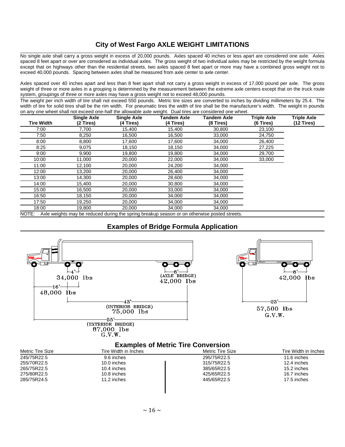# **City of West Fargo AXLE WEIGHT LIMITATIONS**

No single axle shall carry a gross weight in excess of 20,000 pounds. Axles spaced 40 inches or less apart are considered one axle. Axles spaced 8 feet apart or over are considered as individual axles. The gross weight of two individual axles may be restricted by the weight formula except that on highways other than the residential streets, two axles spaced 8 feet apart or more may have a combined gross weight not to exceed 40,000 pounds. Spacing between axles shall be measured from axle center to axle center.

Axles spaced over 40 inches apart and less than 8 feet apart shall not carry a gross weight in excess of 17,000 pound per axle. The gross weight of three or more axles in a grouping is determined by the measurement between the extreme axle centers except that on the truck route system, groupings of three or more axles may have a gross weight not to exceed 48,000 pounds.

The weight per inch width of tire shall not exceed 550 pounds. Metric tire sizes are converted to inches by dividing millimeters by 25.4. The width of tire for solid tires shall be the rim width. For pneumatic tires the width of tire shall be the manufacturer's width. The weight in pounds on any one wheel shall not exceed one-half the allowable axle weight. Dual tires are considered one wheel.

| <b>Tire Width</b> | <b>Single Axle</b><br>(2 Tires) | <b>Single Axle</b><br>(4 Tires) | Tandem Axle<br>(4 Tires)                                                                     | <b>Tandem Axle</b><br>(8 Tires) | <b>Triple Axle</b><br>(6 Tires) | <b>Triple Axle</b><br>$(12$ Tires) |
|-------------------|---------------------------------|---------------------------------|----------------------------------------------------------------------------------------------|---------------------------------|---------------------------------|------------------------------------|
| 7:00              | 7,700                           | 15,400                          | 15,400                                                                                       | 30,800                          | 23,100                          |                                    |
| 7:50              | 8,250                           | 16,500                          | 16,500                                                                                       | 33,000                          | 24,750                          |                                    |
| 8:00              | 8,800                           | 17,600                          | 17,600                                                                                       | 34,000                          | 26,400                          |                                    |
| 8:25              | 9,075                           | 18,150                          | 18,150                                                                                       | 34,000                          | 27,225                          |                                    |
| 9:00              | 9,900                           | 19,800                          | 19,800                                                                                       | 34,000                          | 29,700                          |                                    |
| 10:00             | 11,000                          | 20,000                          | 22,000                                                                                       | 34,000                          | 33,000                          |                                    |
| 11:00             | 12,100                          | 20,000                          | 24,200                                                                                       | 34,000                          |                                 |                                    |
| 12:00             | 13,200                          | 20,000                          | 26,400                                                                                       | 34,000                          |                                 |                                    |
| 13:00             | 14,300                          | 20,000                          | 28,600                                                                                       | 34,000                          |                                 |                                    |
| 14:00             | 15,400                          | 20,000                          | 30,800                                                                                       | 34,000                          |                                 |                                    |
| 15:00             | 16,500                          | 20,000                          | 33,000                                                                                       | 34,000                          |                                 |                                    |
| 16:50             | 18,150                          | 20,000                          | 34,000                                                                                       | 34,000                          |                                 |                                    |
| 17:50             | 19,250                          | 20,000                          | 34,000                                                                                       | 34,000                          |                                 |                                    |
| 18:00             | 19,800                          | 20,000                          | 34,000                                                                                       | 34,000                          |                                 |                                    |
| NOTE:             |                                 |                                 | Axle weights may be reduced during the spring breakup season or on otherwise posted streets. |                                 |                                 |                                    |

# **Examples of Bridge Formula Application**



# **Examples of Metric Tire Conversion**

| Metric Tire Size | Tire Width in Inches | Metric Tire Size | Tire Width in Inches |
|------------------|----------------------|------------------|----------------------|
| 245/75R22.5      | 9.6 inches           | 295/75R22.5      | 11.6 inches          |
| 255/70R22.5      | 10.0 inches          | 315/75R22.5      | 12.4 inches          |
| 265/75R22.5      | 10.4 inches          | 385/65R22.5      | 15.2 inches          |
| 275/80R22.5      | 10.8 inches          | 425/65R22.5      | 16.7 inches          |
| 285/75R24.5      | 11.2 inches          | 445/65R22.5      | 17.5 inches          |
|                  |                      |                  |                      |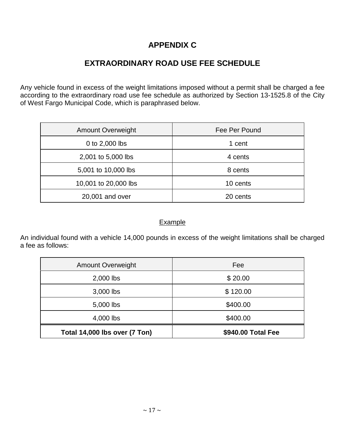# **APPENDIX C**

# **EXTRAORDINARY ROAD USE FEE SCHEDULE**

Any vehicle found in excess of the weight limitations imposed without a permit shall be charged a fee according to the extraordinary road use fee schedule as authorized by Section 13-1525.8 of the City of West Fargo Municipal Code, which is paraphrased below.

| <b>Amount Overweight</b> | Fee Per Pound |
|--------------------------|---------------|
| 0 to 2,000 lbs           | 1 cent        |
| 2,001 to 5,000 lbs       | 4 cents       |
| 5,001 to 10,000 lbs      | 8 cents       |
| 10,001 to 20,000 lbs     | 10 cents      |
| 20,001 and over          | 20 cents      |

# Example

An individual found with a vehicle 14,000 pounds in excess of the weight limitations shall be charged a fee as follows:

| <b>Amount Overweight</b>      | Fee                |
|-------------------------------|--------------------|
| 2,000 lbs                     | \$20.00            |
| 3,000 lbs                     | \$120.00           |
| 5,000 lbs                     | \$400.00           |
| 4,000 lbs                     | \$400.00           |
| Total 14,000 lbs over (7 Ton) | \$940.00 Total Fee |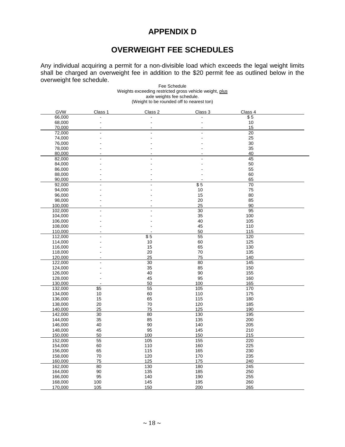# **APPENDIX D**

# **OVERWEIGHT FEE SCHEDULES**

Any individual acquiring a permit for a non-divisible load which exceeds the legal weight limits shall be charged an overweight fee in addition to the \$20 permit fee as outlined below in the overweight fee schedule.

| Fee Schedule                                            |  |  |  |  |
|---------------------------------------------------------|--|--|--|--|
| Weights exceeding restricted gross vehicle weight, plus |  |  |  |  |
| axle weights fee schedule.                              |  |  |  |  |
| (Weight to be rounded off to nearest ton)               |  |  |  |  |

| GVW     | Class 1         | Class 2 | Class 3     | Class 4         |  |
|---------|-----------------|---------|-------------|-----------------|--|
| 66,000  |                 |         |             | \$5             |  |
| 68,000  |                 |         |             | 10              |  |
| 70,000  |                 |         |             | 15              |  |
| 72,000  |                 |         |             | $\overline{20}$ |  |
| 74,000  |                 |         |             | 25              |  |
| 76,000  |                 |         |             | 30              |  |
| 78,000  |                 |         |             | 35              |  |
|         |                 |         |             |                 |  |
| 80,000  |                 |         |             | 40              |  |
| 82,000  |                 |         |             | 45              |  |
| 84,000  |                 |         |             | 50              |  |
| 86,000  |                 |         |             | 55              |  |
| 88,000  |                 |         |             | 60              |  |
| 90,000  |                 |         |             | 65              |  |
| 92,000  |                 |         | $\sqrt{$5}$ | 70              |  |
| 94,000  |                 |         | 10          | 75              |  |
| 96,000  |                 |         | 15          | 80              |  |
| 98,000  |                 |         | 20          | 85              |  |
| 100,000 |                 |         | 25          | 90              |  |
| 102,000 |                 |         | 30          | 95              |  |
| 104,000 |                 |         | 35          | 100             |  |
| 106,000 |                 |         | 40          | 105             |  |
| 108,000 |                 |         | 45          | 110             |  |
| 110,000 |                 |         | 50          | 115             |  |
| 112,000 |                 | \$5     |             | 120             |  |
|         |                 |         | 55<br>60    | 125             |  |
| 114,000 |                 | 10      |             |                 |  |
| 116,000 |                 | 15      | 65          | 130             |  |
| 118,000 |                 | 20      | 70          | 135             |  |
| 120,000 |                 | 25      | 75          | 140             |  |
| 122,000 |                 | 30      | 80          | 145             |  |
| 124,000 |                 | 35      | 85          | 150             |  |
| 126,000 |                 | 40      | 90          | 155             |  |
| 128,000 |                 | 45      | 95          | 160             |  |
| 130,000 |                 | 50      | 100         | 165             |  |
| 132,000 | \$5             | 55      | 105         | 170             |  |
| 134,000 | 10              | 60      | 110         | 175             |  |
| 136,000 | 15              | 65      | 115         | 180             |  |
| 138,000 | 20              | 70      | 120         | 185             |  |
| 140,000 | 25              | 75      | 125         | 190             |  |
| 142,000 | $\overline{30}$ | 80      | 130         | 195             |  |
| 144,000 | 35              | 85      | 135         | 200             |  |
| 146,000 | 40              | 90      | 140         | 205             |  |
| 148,000 | 45              | 95      | 145         | 210             |  |
| 150,000 | 50              | 100     | 150         | 215             |  |
|         | 55              | 105     | 155         | 220             |  |
| 152,000 | 60              | 110     | 160         | 225             |  |
| 154,000 |                 |         |             |                 |  |
| 156,000 | 65              | 115     | 165         | 230             |  |
| 158,000 | 70              | 120     | 170         | 235             |  |
| 160,000 | 75              | 125     | 175         | 240             |  |
| 162,000 | 80              | 130     | 180         | 245             |  |
| 164,000 | 90              | 135     | 185         | 250             |  |
| 166,000 | 95              | 140     | 190         | 255             |  |
| 168,000 | 100             | 145     | 195         | 260             |  |
| 170,000 | 105             | 150     | 200         | 265             |  |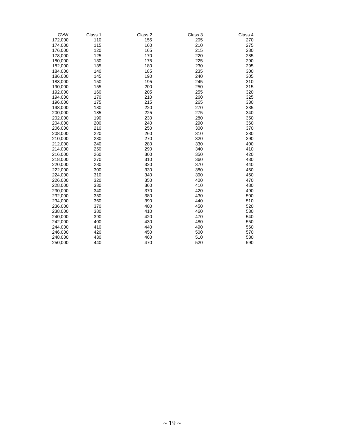| <b>GVW</b> | Class 1 | Class 2 | Class 3 | Class 4 |  |
|------------|---------|---------|---------|---------|--|
| 172,000    | 110     | 155     | 205     | 270     |  |
| 174,000    | 115     | 160     | 210     | 275     |  |
| 176,000    | 120     | 165     | 215     | 280     |  |
| 178,000    | 125     | 170     | 220     | 285     |  |
| 180,000    | 130     | 175     | 225     | 290     |  |
| 182,000    | 135     | 180     | 230     | 295     |  |
| 184,000    | 140     | 185     | 235     | 300     |  |
| 186,000    | 145     | 190     | 240     | 305     |  |
| 188,000    | 150     | 195     | 245     | 310     |  |
| 190,000    | 155     | 200     | 250     | 315     |  |
| 192,000    | 160     | 205     | 255     | 320     |  |
| 194,000    | 170     | 210     | 260     | 325     |  |
| 196,000    | 175     | 215     | 265     | 330     |  |
| 198,000    | 180     | 220     | 270     | 335     |  |
| 200,000    | 185     | 225     | 275     | 340     |  |
| 202,000    | 190     | 230     | 280     | 350     |  |
| 204,000    | 200     | 240     | 290     | 360     |  |
| 206,000    | 210     | 250     | 300     | 370     |  |
| 208,000    | 220     | 260     | 310     | 380     |  |
| 210,000    | 230     | 270     | 320     | 390     |  |
| 212,000    | 240     | 280     | 330     | 400     |  |
| 214,000    | 250     | 290     | 340     | 410     |  |
| 216,000    | 260     | 300     | 350     | 420     |  |
| 218,000    | 270     | 310     | 360     | 430     |  |
| 220,000    | 280     | 320     | 370     | 440     |  |
| 222,000    | 300     | 330     | 380     | 450     |  |
| 224,000    | 310     | 340     | 390     | 460     |  |
| 226,000    | 320     | 350     | 400     | 470     |  |
| 228,000    | 330     | 360     | 410     | 480     |  |
| 230,000    | 340     | 370     | 420     | 490     |  |
| 232,000    | 350     | 380     | 430     | 500     |  |
| 234,000    | 360     | 390     | 440     | 510     |  |
| 236,000    | 370     | 400     | 450     | 520     |  |
| 238,000    | 380     | 410     | 460     | 530     |  |
| 240,000    | 390     | 420     | 470     | 540     |  |
| 242,000    | 400     | 430     | 480     | 550     |  |
| 244,000    | 410     | 440     | 490     | 560     |  |
| 246,000    | 420     | 450     | 500     | 570     |  |
| 248,000    | 430     | 460     | 510     | 580     |  |
| 250,000    | 440     | 470     | 520     | 590     |  |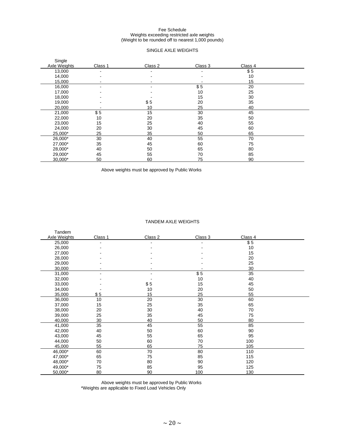#### Fee Schedule Weights exceeding restricted axle weights (Weight to be rounded off to nearest 1,000 pounds)

#### SINGLE AXLE WEIGHTS

| Single<br>Axle Weights | Class 1 | Class 2 | Class 3 | Class 4 |  |
|------------------------|---------|---------|---------|---------|--|
| 13,000                 | ٠       | ۰       |         | \$5     |  |
| 14,000                 | ۰       |         |         | 10      |  |
| 15,000                 |         |         |         | 15      |  |
| 16,000                 | -       |         | \$5     | 20      |  |
| 17,000                 |         |         | 10      | 25      |  |
| 18,000                 |         |         | 15      | 30      |  |
| 19,000                 |         | \$5     | 20      | 35      |  |
| 20,000                 |         | 10      | 25      | 40      |  |
| 21,000                 | \$5     | 15      | 30      | 45      |  |
| 22,000                 | 10      | 20      | 35      | 50      |  |
| 23,000                 | 15      | 25      | 40      | 55      |  |
| 24,000                 | 20      | 30      | 45      | 60      |  |
| 25,000*                | 25      | 35      | 50      | 65      |  |
| 26,000*                | 30      | 40      | 55      | 70      |  |
| 27,000*                | 35      | 45      | 60      | 75      |  |
| 28,000*                | 40      | 50      | 65      | 80      |  |
| 29,000*                | 45      | 55      | 70      | 85      |  |
| 30,000*                | 50      | 60      | 75      | 90      |  |

Above weights must be approved by Public Works

#### TANDEM AXLE WEIGHTS

| Tandem       |         |         |         |         |  |
|--------------|---------|---------|---------|---------|--|
| Axle Weights | Class 1 | Class 2 | Class 3 | Class 4 |  |
| 25,000       | ۰       |         |         | \$5     |  |
| 26,000       |         |         |         | 10      |  |
| 27,000       |         |         |         | 15      |  |
| 28,000       |         |         |         | 20      |  |
| 29,000       |         |         |         | 25      |  |
| 30,000       |         |         |         | 30      |  |
| 31,000       |         |         | \$5     | 35      |  |
| 32,000       |         |         | 10      | 40      |  |
| 33,000       |         | \$5     | 15      | 45      |  |
| 34,000       |         | 10      | 20      | 50      |  |
| 35,000       | \$5     | 15      | 25      | 55      |  |
| 36,000       | 10      | 20      | 30      | 60      |  |
| 37,000       | 15      | 25      | 35      | 65      |  |
| 38,000       | 20      | 30      | 40      | 70      |  |
| 39,000       | 25      | 35      | 45      | 75      |  |
| 40,000       | 30      | 40      | 50      | 80      |  |
| 41,000       | 35      | 45      | 55      | 85      |  |
| 42,000       | 40      | 50      | 60      | 90      |  |
| 43,000       | 45      | 55      | 65      | 95      |  |
| 44,000       | 50      | 60      | 70      | 100     |  |
| 45,000       | 55      | 65      | 75      | 105     |  |
| 46,000*      | 60      | 70      | 80      | 110     |  |
| 47,000*      | 65      | 75      | 85      | 115     |  |
| 48,000*      | 70      | 80      | 90      | 120     |  |
| 49,000*      | 75      | 85      | 95      | 125     |  |
| 50,000*      | 80      | 90      | 100     | 130     |  |

Above weights must be approved by Public Works \*Weights are applicable to Fixed Load Vehicles Only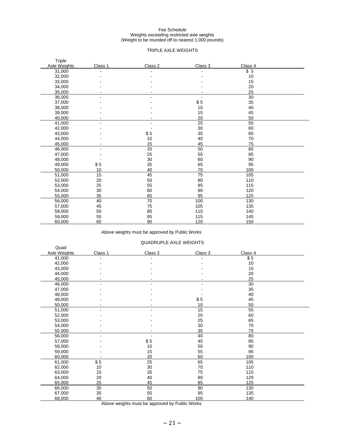#### Fee Schedule Weights exceeding restricted axle weights (Weight to be rounded off to nearest 1,000 pounds)

#### TRIPLE AXLE WEIGHTS

| Triple<br>Axle Weights | Class 1 | Class 2 | Class 3 | Class 4 |  |
|------------------------|---------|---------|---------|---------|--|
| 31,000                 |         |         |         | \$5     |  |
|                        |         |         |         |         |  |
| 32,000                 |         |         |         | 10      |  |
| 33,000                 |         |         |         | 15      |  |
| 34,000                 |         |         |         | 20      |  |
| 35,000                 |         |         |         | 25      |  |
| 36,000                 |         |         |         | 30      |  |
| 37,000                 |         |         | \$5     | 35      |  |
| 38,000                 |         |         | 10      | 40      |  |
| 39,000                 |         |         | 15      | 45      |  |
| 40,000                 |         |         | 20      | 50      |  |
| 41,000                 |         |         | 25      | 55      |  |
| 42,000                 |         |         | 30      | 60      |  |
| 43,000                 |         | \$5     | 35      | 65      |  |
| 44,000                 |         | 10      | 40      | 70      |  |
| 45,000                 |         | 15      | 45      | 75      |  |
| 46,000                 |         | 20      | 50      | 80      |  |
| 47,000                 |         | 25      | 55      | 85      |  |
| 48,000                 |         | 30      | 60      | 90      |  |
| 49,000                 | \$5     | 35      | 65      | 95      |  |
| 50,000                 | 10      | 40      | 70      | 100     |  |
| 51,000                 | 15      | 45      | 75      | 105     |  |
| 52,000                 | 20      | 50      | 80      | 110     |  |
| 53,000                 | 25      | 55      | 85      | 115     |  |
| 54,000                 | 30      | 60      | 90      | 120     |  |
| 55,000                 | 35      | 65      | 95      | 125     |  |
| 56,000                 | 40      | 70      | 100     | 130     |  |
| 57,000                 | 45      | 75      | 105     | 135     |  |
| 58,000                 | 50      | 80      | 110     | 140     |  |
| 59,000                 | 55      | 85      | 115     | 145     |  |
| 60,000                 | 60      | 90      | 120     | 150     |  |

#### Above weights must be approved by Public Works

#### QUADRUPLE AXLE WEIGHTS

|              |         | <b>QUADINUL LE AALE WEIGHTU</b> |         |         |  |
|--------------|---------|---------------------------------|---------|---------|--|
| Quad         |         |                                 |         |         |  |
| Axle Weights | Class 1 | Class 2                         | Class 3 | Class 4 |  |
| 41,000       |         |                                 |         | \$5     |  |
| 42,000       |         |                                 |         | 10      |  |
| 43,000       |         |                                 |         | 15      |  |
| 44,000       |         |                                 |         | 20      |  |
| 45,000       |         |                                 |         | 25      |  |
| 46,000       |         |                                 |         | 30      |  |
| 47,000       |         |                                 |         | 35      |  |
| 48,000       |         |                                 |         | 40      |  |
| 49,000       |         |                                 | \$5     | 45      |  |
| 50,000       |         |                                 | 10      | 50      |  |
| 51,000       |         |                                 | 15      | 55      |  |
| 52,000       |         |                                 | 20      | 60      |  |
| 53,000       |         |                                 | 25      | 65      |  |
| 54,000       |         |                                 | 30      | 70      |  |
| 55 000       |         |                                 | 35      | 75      |  |
| 56,000       |         |                                 | 40      | 80      |  |
| 57,000       |         | \$5                             | 45      | 85      |  |
| 58,000       |         | 10                              | 50      | 90      |  |
| 59,000       |         | 15                              | 55      | 95      |  |
| 60,000       |         | 20                              | 60      | 100     |  |
| 61,000       | \$5     | 25                              | 65      | 105     |  |
| 62,000       | 10      | 30                              | 70      | 110     |  |
| 63,000       | 15      | 35                              | 75      | 115     |  |
| 64,000       | 20      | 40                              | 80      | 120     |  |
| 65,000       | 25      | 45                              | 85      | 125     |  |
| 66,000       | 30      | 50                              | 90      | 130     |  |
| 67,000       | 35      | 55                              | 95      | 135     |  |
| 68,000       | 40      | 60                              | 100     | 140     |  |

Above weights must be approved by Public Works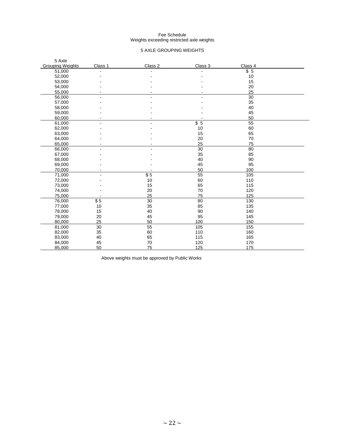#### Fee Schedule Weights exceeding restricted axle weights

#### 5 AXLE GROUPING WEIGHTS

| 5 Axle                  |         |           |         |         |  |
|-------------------------|---------|-----------|---------|---------|--|
| <b>Grouping Weights</b> | Class 1 | Class 2   | Class 3 | Class 4 |  |
| 51,000                  |         |           |         | \$5     |  |
| 52,000                  |         |           |         | 10      |  |
| 53,000                  |         |           |         | 15      |  |
| 54,000                  |         |           |         | 20      |  |
| 55,000                  |         |           |         | 25      |  |
| 56,000                  |         |           |         | 30      |  |
| 57,000                  |         |           |         | 35      |  |
| 58,000                  |         |           |         | 40      |  |
| 59,000                  |         |           |         | 45      |  |
| 60,000                  |         |           |         | 50      |  |
| 61,000                  |         |           | \$5     | 55      |  |
| 62,000                  |         |           | 10      | 60      |  |
| 63,000                  |         |           | 15      | 65      |  |
| 64,000                  |         |           | 20      | 70      |  |
| 65,000                  |         |           | 25      | 75      |  |
| 66,000                  |         |           | 30      | 80      |  |
| 67,000                  |         |           | 35      | 85      |  |
| 68,000                  |         |           | 40      | 90      |  |
| 69,000                  |         |           | 45      | 95      |  |
| 70,000                  |         |           | 50      | 100     |  |
| 71,000                  |         | $\sqrt$5$ | 55      | 105     |  |
| 72,000                  |         | 10        | 60      | 110     |  |
| 73,000                  |         | 15        | 65      | 115     |  |
| 74,000                  |         | 20        | 70      | 120     |  |
| 75,000                  |         | 25        | 75      | 125     |  |
| 76,000                  | \$5     | 30        | 80      | 130     |  |
| 77,000                  | 10      | 35        | 85      | 135     |  |
| 78,000                  | 15      | 40        | 90      | 140     |  |
| 79,000                  | 20      | 45        | 95      | 145     |  |
| 80,000                  | 25      | 50        | 100     | 150     |  |
| 81,000                  | 30      | 55        | 105     | 155     |  |
| 82,000                  | 35      | 60        | 110     | 160     |  |
| 83,000                  | 40      | 65        | 115     | 165     |  |
| 84,000                  | 45      | 70        | 120     | 170     |  |
| 85,000                  | 50      | 75        | 125     | 175     |  |

Above weights must be approved by Public Works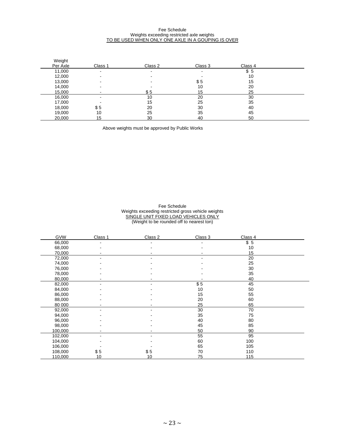#### Fee Schedule Weights exceeding restricted axle weights TO BE USED WHEN ONLY ONE AXLE IN A GOUPING IS OVER

| Weight   |                          |         |         |         |  |
|----------|--------------------------|---------|---------|---------|--|
| Per Axle | Class 1                  | Class 2 | Class 3 | Class 4 |  |
| 11,000   | $\overline{\phantom{0}}$ | -       | -       | \$5     |  |
| 12,000   |                          |         |         | 10      |  |
| 13,000   |                          |         | \$5     | 15      |  |
| 14,000   |                          |         | 10      | 20      |  |
| 15,000   |                          | \$5     | 15      | 25      |  |
| 16,000   |                          | 10      | 20      | 30      |  |
| 17,000   |                          | 15      | 25      | 35      |  |
| 18,000   | \$5                      | 20      | 30      | 40      |  |
| 19,000   | 10                       | 25      | 35      | 45      |  |
| 20,000   | 15                       | 30      | 40      | 50      |  |

Above weights must be approved by Public Works

#### Fee Schedule Weights exceeding restricted gross vehicle weights SINGLE UNIT FIXED LOAD VEHICLES ONLY (Weight to be rounded off to nearest ton)

| <b>GVW</b> | Class 1 | Class 2 | Class 3 | Class 4 |  |
|------------|---------|---------|---------|---------|--|
| 66,000     |         |         |         | \$5     |  |
| 68,000     |         |         |         | 10      |  |
| 70,000     |         |         |         | 15      |  |
| 72,000     |         |         |         | 20      |  |
| 74,000     |         |         |         | 25      |  |
| 76,000     |         |         |         | 30      |  |
| 78,000     |         |         |         | 35      |  |
| 80,000     |         |         |         | 40      |  |
| 82,000     |         |         | \$5     | 45      |  |
| 84,000     |         |         | 10      | 50      |  |
| 86,000     |         |         | 15      | 55      |  |
| 88,000     |         |         | 20      | 60      |  |
| 80 000     |         |         | 25      | 65      |  |
| 92,000     |         |         | 30      | 70      |  |
| 94,000     |         |         | 35      | 75      |  |
| 96,000     |         |         | 40      | 80      |  |
| 98,000     |         |         | 45      | 85      |  |
| 100,000    |         |         | 50      | 90      |  |
| 102,000    | ٠       |         | 55      | 95      |  |
| 104,000    |         |         | 60      | 100     |  |
| 106,000    |         |         | 65      | 105     |  |
| 108,000    | \$5     | \$5     | 70      | 110     |  |
| 110,000    | 10      | 10      | 75      | 115     |  |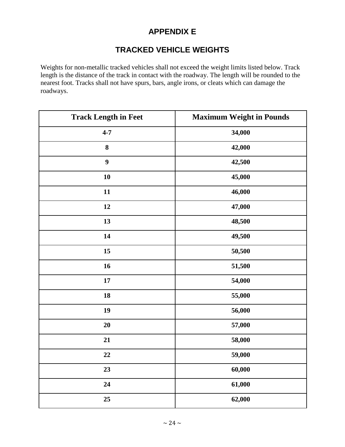# **APPENDIX E**

# **TRACKED VEHICLE WEIGHTS**

Weights for non-metallic tracked vehicles shall not exceed the weight limits listed below. Track length is the distance of the track in contact with the roadway. The length will be rounded to the nearest foot. Tracks shall not have spurs, bars, angle irons, or cleats which can damage the roadways.

| <b>Track Length in Feet</b> | <b>Maximum Weight in Pounds</b> |
|-----------------------------|---------------------------------|
| $4 - 7$                     | 34,000                          |
| 8                           | 42,000                          |
| $\boldsymbol{9}$            | 42,500                          |
| 10                          | 45,000                          |
| 11                          | 46,000                          |
| 12                          | 47,000                          |
| 13                          | 48,500                          |
| 14                          | 49,500                          |
| 15                          | 50,500                          |
| 16                          | 51,500                          |
| 17                          | 54,000                          |
| 18                          | 55,000                          |
| 19                          | 56,000                          |
| 20                          | 57,000                          |
| 21                          | 58,000                          |
| 22                          | 59,000                          |
| 23                          | 60,000                          |
| 24                          | 61,000                          |
| 25                          | 62,000                          |